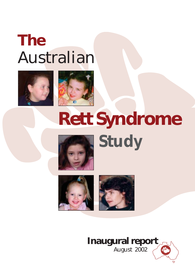## **The** Australian





# **Rett Syndrome** *Study*





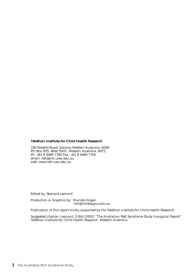#### **Telethon Institute for Child Health Research**

100 Roberts Road, Subiaco Western Australia. 6008. PO Box 855, West Perth, Western Australia. 6872. Ph: +61 8 9489 7790 Fax: +61 8 9489 7700 email: rett@ichr.uwa.edu.au web: www.rett.uwa.edu.au

Edited by: Seonaid Leonard

Production & Graphics by: Mandie Hogan mh@mhdesigns.com.au

Publication of this report kindly supported by the Telethon Institute for Child Health Research.

Suggested citation: Leonard, S (Ed) (2002) "The Australian Rett Syndrome Study Inaugural Report" Telethon Institute for Child Health Research, Western Australia.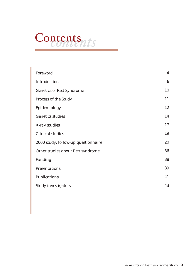## Contents<sub>nts</sub>

| Foreword                            | $\overline{\mathbf{4}}$ |
|-------------------------------------|-------------------------|
| Introduction                        | $6\phantom{.}6$         |
| <b>Genetics of Rett Syndrome</b>    | 10                      |
| Process of the Study                | 11                      |
| Epidemiology                        | 12                      |
| <b>Genetics studies</b>             | 14                      |
| X-ray studies                       | 17                      |
| <b>Clinical studies</b>             | 19                      |
| 2000 study: follow-up questionnaire | 20                      |
| Other studies about Rett syndrome   | 36                      |
| Funding                             | 38                      |
| Presentations                       | 39                      |
| Publications                        | 41                      |
| <b>Study investigators</b>          | 43                      |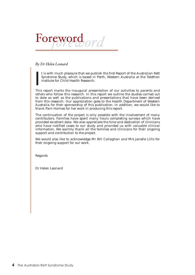

#### *By Dr Helen Leonard*

t is with much pleasure that we publish the first Report of the Australian Rett Syndrome Study, which is based in Perth, Western Australia at the Telethon Institute for Child Health Research.

I This report marks the inaugural presentation of our activities to parents and others who follow this research. In this report we outline the studies carried out to date as well as the publications and presentations that have been derived from this research. Our appreciation goes to the Health Department of Western Australia for their sponsorship of this publication. In addition, we would like to thank Pam Holmes for her work in producing this report.

The continuation of the project is only possible with the involvement of many contributors. Families have spent many hours completing surveys which have provided excellent data. We also appreciate the time and dedication of clinicians who have notified cases to our study and provided us with valuable clinical information. We warmly thank all the families and clinicians for their ongoing support and contribution to the project.

We would also like to acknowledge Mr Bill Callaghan and Mrs Janelle Lillis for their ongoing support for our work.

Regards

Dr Helen Leonard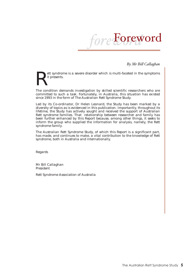

*By Mr Bill Callaghan*

ett syndrome is a severe disorder which is multi-faceted in the symptoms it presents.

The condition demands investigation by skilled scientific researchers who are committed to such a task. Fortunately, in Australia, this situation has existed since 1993 in the form of The Australian Rett Syndrome Study.

Led by its Co-ordinator, Dr Helen Leonard, the Study has been marked by a diversity of topics as is evidenced in this publication. Importantly, throughout its lifetime, the Study has actively sought and received the support of Australian Rett syndrome families. That relationship between researcher and family has been further enhanced by this Report because, among other things, it seeks to inform the group who supplied the information for analysis, namely, the Rett syndrome family.

The Australian Rett Syndrome Study, of which this Report is a significant part, has made, and continues to make, a vital contribution to the knowledge of Rett syndrome, both in Australia and internationally.

Regards

Mr Bill Callaghan President

Rett Syndrome Association of Australia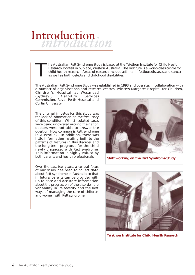## Introduction

The Australian Rett Syndrome Study is based at the Telethon Institute for Child Health Research located in Subiaco, Western Australia. The Institute is a world-class centre for child health research. Areas of research incl Research located in Subiaco, Western Australia. The Institute is a world-class centre for child health research. Areas of research include asthma, infectious diseases and cancer as well as birth defects and childhood disabilities.

The Australian Rett Syndrome Study was established in 1993 and operates in collaboration with a number of organisations and research centres: Princess Margaret Hospital for Children,

Children's Hospital at Westmead  $(Sydney)$ , Disability Commission, Royal Perth Hospital and Curtin University.

The original impetus for this study was the lack of information on the frequency of this condition. Whilst isolated cases were being uncovered around the nation doctors were not able to answer the question 'How common is Rett syndrome in Australia?'. In addition, there was little information relating both to the patterns of features in this disorder and the long-term prognosis for the child newly diagnosed with Rett syndrome. This information is highly valued by both parents and health professionals.

Over the past few years, a central focus of our study has been to collect data about Rett syndrome in Australia so that in future, parents can be provided with up-to-date and accurate information about the progression of the disorder, the variability in its severity and the best ways of managing the care of children and women with Rett syndrome.



**Staff working on the Rett Syndrome Study**



**Telethon Institute for Child Health Research**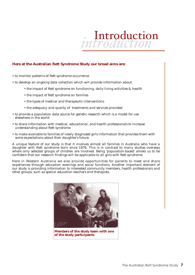

#### **Here at the Australian Rett Syndrome Study our broad aims are:**

- to monitor patterns of Rett syndrome occurrence
- to develop an ongoing data collection which will provide information about:
	- the impact of Rett syndrome on functioning, daily living activities & health
	- the impact of Rett syndrome on families
	- the types of medical and therapeutic interventions
	- the adequacy and quality of treatments and services provided
- to provide a population data source for genetic research which is a model for use elsewhere in the world
- to share information with medical, educational, and health professionals to increase understanding about Rett syndrome
- to make available to families of newly diagnosed girls information that provides them with some expectations about their daughter's future.

A unique feature of our study is that it involves almost all families in Australia who have a daughter with Rett syndrome born since 1976. This is in contrast to many studies overseas where only selected groups of children are involved. Being 'population-based' allows us to be confident that our research findings will be applicable to all girls with Rett syndrome.

Here in Western Australia we also provide opportunities for parents to meet and share experiences through education evenings and social functions. Another important element of our study is providing information to interested community members, health professionals and other groups, such as special education teachers and therapists.



**Members of the study team with one of the study participants**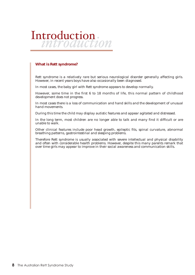# Introduction

#### **What is Rett syndrome?**

Rett syndrome is a relatively rare but serious neurological disorder generally affecting girls. However, in recent years boys have also occasionally been diagnosed.

In most cases, the baby girl with Rett syndrome appears to develop normally.

However, some time in the first 6 to 18 months of life, this normal pattern of childhood development does not progress.

In most cases there is a loss of communication and hand skills and the development of unusual hand movements.

During this time the child may display autistic features and appear agitated and distressed.

In the long term, most children are no longer able to talk and many find it difficult or are unable to walk.

Other clinical features include poor head growth, epileptic fits, spinal curvature, abnormal breathing patterns, gastrointestinal and sleeping problems.

Therefore Rett syndrome is usually associated with severe intellectual and physical disability and often with considerable health problems. However, despite this many parents remark that over time girls may appear to improve in their social awareness and communication skills.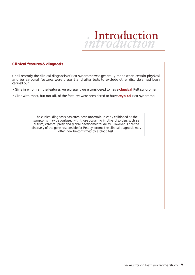

#### **Clinical features & diagnosis**

Until recently the clinical diagnosis of Rett syndrome was generally made when certain physical and behavioural features were present and after tests to exclude other disorders had been carried out.

• Girls in whom all the features were present were considered to have **classical** Rett syndrome.

• Girls with most, but not all, of the features were considered to have **atypical** Rett syndrome.

*The clinical diagnosis has often been uncertain in early childhood as the symptoms may be confused with those occurring in other disorders such as autism, cerebral palsy and global developmental delay. However, since the discovery of the gene responsible for Rett syndrome the clinical diagnosis may often now be confirmed by a blood test.*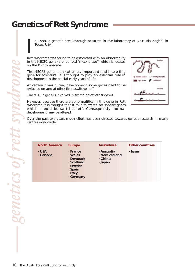## **Genetics of Rett Syndrome**

n 1999, a genetic breakthrough occurred in the laboratory of Dr Huda Zoghbi in Texas, USA.

I Rett syndrome was found to be associated with an abnormality in the *MECP2* gene (pronounced "meck-p-two") which is located on the X chromosome.

The *MECP2* gene is an extremely important and interesting gene for scientists. It is thought to play an essential role in development in the crucial early years of life.

At certain times during development some genes need to be switched on and at other times switched off.

The *MECP2* gene is involved in switching off other genes.

However, because there are abnormalities in this gene in Rett syndrome it is thought that it fails to switch off specific genes which should be switched off. Consequently normal development may be altered.



Over the past two years much effort has been directed towards genetic research in many centres world-wide.

| <b>North America</b>    | <b>Europe</b>                                                                                 | <b>Australasia</b>                                 | <b>Other countries</b> |
|-------------------------|-----------------------------------------------------------------------------------------------|----------------------------------------------------|------------------------|
| $\cdot$ USA<br>· Canada | · France<br>· Wales<br>· Denmark<br>· Scotland<br>· Sweden<br>· Spain<br>· Italy<br>. Germany | · Australia<br>· New Zealand<br>. China<br>· Japan | <b>·</b> Israel        |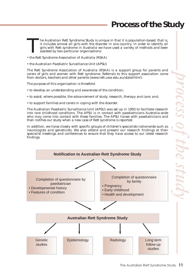## **Process of the Study**

he Australian Rett Syndrome Study is unique in that it is population-based, that is, it includes almost all girls with the disorder in one country. In order to identify all girls with Rett syndrome in Australia we have used a variety of methods and been assisted by two particular organisations: T

- the Rett Syndrome Association of Australia (RSAA)
- the Australian Paediatric Surveillance Unit (APSU)

The Rett Syndrome Association of Australia (RSAA) is a support group for parents and carers of girls and women with Rett syndrome. Referrals to this support association come from doctors, teachers and other parents (www.rett.uwa.edu.au/state/html).

The purpose of this organisation is threefold:

- to develop an understanding and awareness of the condition;
- to assist, where possible, the advancement of study, research, therapy and care; and,
- to support families and carers in coping with the disorder.

The Australian Paediatric Surveillance Unit (APSU) was set up in 1993 to facilitate research into rare childhood conditions. The APSU is in contact with paediatricians Australia-wide who may come into contact with these families. The APSU liaises with paediatricians and then notifies our study when a new case of Rett syndrome is reported.

In addition, we liaise closely with specific groups of children's specialists nationwide such as neurologists and geneticists. We also attend and present our research findings at their specialist meetings and conferences to ensure that they have access to our latest research findings.

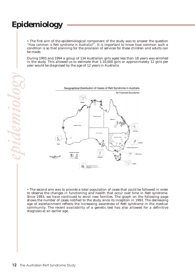## **Epidemiology**

• The first aim of the epidemiological component of the study was to answer the question *"How common is Rett syndrome in Australia?"*. It is important to know how common such a condition is so that planning for the provision of services for these children and adults can be made.

During 1993 and 1994 a group of 134 Australian girls aged less than 18 years was enrolled in the study. This allowed us to estimate that 1:10,000 girls or approximately 12 girls per year would be diagnosed by the age of 12 years in Australia.



• The second aim was to provide a total population of cases that could be followed in order to observe the changes in functioning and health that occur over time in Rett syndrome. Since 1993, we have continued to enrol new families. The graph on the following page shows the number of cases notified to the study since its inception in 1993. The decreasing age of ascertainment reflects the increasing awareness of Rett syndrome in the medical community. The recent availability of a genetic test has also allowed for a definitive diagnosis at an earlier age.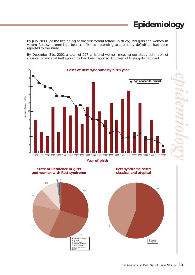## **Epidemiology**

By July 2000, (at the beginning of the first formal follow-up study) 199 girls and women in whom Rett syndrome had been confirmed according to the study definition had been reported to the study.

By December 31st 2001 a total of 227 girls and women meeting our study definition of classical or atypical Rett syndrome had been reported. Fourteen of these girls had died.









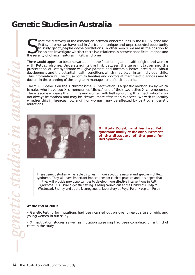### **Genetic Studies in Australia**

ince the discovery of the association between abnormalities in the *MECP2* gene and Rett syndrome, we have had in Australia a unique and unprecedented opportunity to study genotype-phenotype correlations. In other words, we are in the position to be able to investigate whether there is a relationship between specific mutations and Ince the discovery of the association between Rett syndrome, we have had in Australia to study genotype-phenotype correlations be able to investigate whether there is a rethe severity of clinical features in Rett syndrome.

There would appear to be some variation in the functioning and health of girls and women with Rett syndrome. Understanding the link between the gene mutation and the presentation of Rett syndrome will give parents and doctors a better 'prediction' about development and the potential health conditions which may occur in an individual child. This information will be of use both to families and doctors at the time of diagnosis and to doctors in the planning of the long-term management of their patients.

The *MECP2* gene is on the X chromosome. X inactivation is a genetic mechanism by which females who have two X chromosomes 'silence' one of their two active X chromosomes. There is some evidence that in girls and women with Rett syndrome, this 'inactivation' may not always be random and may be 'skewed' more often than expected. We wish to identify whether this influences how a girl or woman may be affected by particular genetic mutations.



**Dr Huda Zoghbi and her first Rett syndrome family at the announcement of the discovery of the gene for Rett Syndrome** 

*These genetic studies will enable us to learn more about the nature and spectrum of Rett syndrome. They will have important implications for clinical practice and it is hoped that they will provide new opportunities to develop more effective interventions in Rett syndrome. In Australia genetic testing is being carried out at the Children's Hospital, Westmead, Sydney and at the Neurogenetics laboratory at Royal Perth Hospital, Perth.*

#### **At the end of 2001:**

• Genetic testing for mutations had been carried out on over three-quarters of girls and young women in our study.

• X inactivation studies as well as mutation screening had been completed on a third of cases in the study.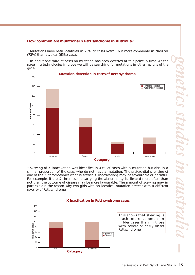#### **How common are mutations in Rett syndrome in Australia?**

• Mutations have been identified in 70% of cases overall but more commonly in classical (73%) than atypical (65%) cases.

• In about one third of cases no mutation has been detected at this point in time. As the screening technologies improve we will be searching for mutations in other regions of the gene.



• Skewing of X inactivation was identified in 43% of cases with a mutation but also in a similar proportion of the cases who do not have a mutation. The preferential silencing of one of the X chromosomes (that is skewed X inactivation) may be favourable or harmful. For example, if the X chromosome carrying the abnormality is silenced more often than not then the outcome of disease may be more favourable. The amount of skewing may in part explain the reason why two girls with an identical mutation present with a different severity of Rett syndrome.





160

This shows that skewing is much more common in milder cases than in those with severe or early onset Rett syndrome.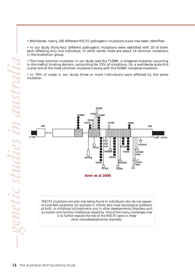• Worldwide, nearly 200 different *MECP2* pathogenic mutations have now been identified.

• In our study thirty-four different pathogenic mutations were identified with 20 of them each affecting only one individual. In other words, there are about 14 common mutations in the Australian group.

• The most common mutation in our study was the T158M, a missense mutation occurring in the methyl binding domain, accounting for 15% of mutations. On a worldwide scale this is also one of the most common mutations along with the R168X nonsense mutation.

• In 79% of cases in our study three or more individuals were affected by the same mutation.



*MECP2 mutations are also now being found in individuals who do not appear to have Rett syndrome, for example in infants who have neurological problems at birth, in childhood schizophrenia and in other developmental disorders such as autism and familial intellectual disability. One of the many challenges now is to further explore the role of the MECP2 gene in these other neurodevelopmental disorders.*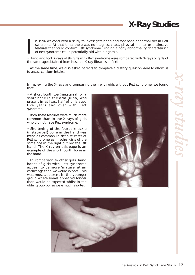## **X-Ray Studies**

n 1996 we conducted a study to investigate hand and foot bone abnormalities in Rett syndrome. At that time, there was no diagnostic test, physical marker or distinctive features that could confirm Rett syndrome. Finding a bony abnormality characteristic of Rett syndrome could potentially aid with diagnosis. I

• Hand and foot X-rays of 94 girls with Rett syndrome were compared with X-rays of girls of the same age obtained from hospital X-ray libraries in Perth.

• At the same time, we also asked parents to complete a dietary questionnaire to allow us to assess calcium intake.

In reviewing the X-rays and comparing them with girls without Rett syndrome, we found that:

• A short fourth toe (metatarsal) or a short bone in the arm (ulna) was present in at least half of girls aged five years and over with Rett syndrome.

• Both these features were much more common than in the X-rays of girls who did not have Rett syndrome.

• Shortening of the fourth knuckle (metacarpal) bone in the hand was twice as common in definite cases of Rett syndrome as in other girls of the same age in the right but not the left hand. The X-ray on this page is an example of the short fourth bone in the hand.

• In comparison to other girls, hand bones of girls with Rett syndrome appear to be more 'mature' at an earlier age than we would expect. This was most apparent in the younger group where bones appeared longer than would be expected whilst in the older group bones were much shorter.



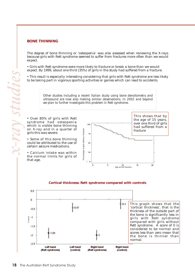#### **BONE THINNING**

The degree of bone thinning or 'osteopenia' was also assessed when reviewing the X-rays because girls with Rett syndrome seemed to suffer from fractures more often than we would expect.

• Girls with Rett syndrome were more likely to fracture or break a bone than we would expect. By 1999, about one third (35%) of girls in the study had suffered from a fracture.

• This result is especially interesting considering that girls with Rett syndrome are less likely to be taking part in vigorous sporting activities or games which can lead to accidents.

> *Other studies including a recent Italian study using bone densitometry and ultrasound are now also making similar observations. In 2002 and beyond we plan to further investigate this problem in Rett syndrome.*

• Over 80% of girls with Rett syndrome had osteopenia which is visible bone thinning on X-ray and in a quarter of girls this was severe.

• Some of this bone thinning could be attributed to the use of certain seizure medications.

• Calcium intake was within the normal limits for girls of that age.



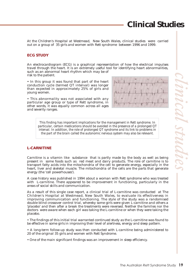## **Clinical Studies**

At the Children's Hospital at Westmead, New South Wales, clinical studies were carried out on a group of 35 girls and women with Rett syndrome between 1996 and 1999.

#### **ECG STUDY**

An electrocardiogram (ECG) is a graphical representation of how the electrical impulses travel through the heart. It is an extremely useful tool for identifying heart abnormalities, such as an abnormal heart rhythm which may be of risk to the patient.

• In this group it was found that part of the heart conduction cycle (termed QT interval) was longer than expected in approximately 25% of girls and young women.

• This abnormality was not associated with any particular age group or type of Rett syndrome, in other words, it was equally common across all ages and severity ranges.



*This finding has important implications for the management in Rett syndrome. In particular, certain medications should be avoided in the presence of a prolonged QT interval. In addition, the role of prolonged QT syndrome and its link to problems in the part of the brain called the autonomic nervous system may also be relevant.*

#### **L-CARNITINE**

Carnitine is a vitamin like substance that is partly made by the body as well as being present in some foods such as red meat and dairy products. The role of carnitine is to transport fatty acids into the mitochondria of the cell to generate energy, especially in the heart, liver and skeletal muscle. The mitochondria of the cells are the parts that generate energy (the 'cell powerhouses').

A case history was published in 1994 about a woman with Rett syndrome who was treated with L-carnitine. There appeared to be improvement in functioning, particularly in the areas of social skills and communication.

As a result of this single case report, a clinical trial of L-carnitine was conducted at The Children's Hospital at Westmead, New South Wales, to evaluate its effectiveness in improving communication and functioning. The style of the study was a randomised double blind crossover control trial, whereby some girls were given L-carnitine and others a 'placebo' and then after a break the treatments were reversed. Neither the families nor the doctors were aware when each girl was taking the L-carnitine or when they were taking the placebo.

• The findings of this initial trial warranted continued study as the L-carnitine was found to be effective in some girls in improving their level of alertness, energy and sleep pattern.

• A long-term follow-up study was then conducted with L-carnitine being administered to 20 of the original 35 girls and women with Rett Syndrome.

• One of the main significant findings was an improvement in sleep efficiency.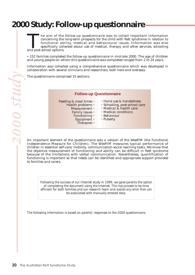### **2000 Study: Follow-up questionnaire**

he aim of the follow-up questionnaire was to collect important information concerning the long-term prospects for the child with Rett syndrome in relation to functional ability, medical and behavioural issues. Information was also specifically collected about use of medical, therapy and other services, schooling The aim of the concerning the last functional abispecifically colleand post-school options.

• 152 families completed the follow-up questionnaire in mid-late 2000. The age of children and young people on whom this questionnaire was completed ranged from 2 to 24 years.

Information was collected using a comprehensive questionnaire which was developed in collaboration with several clinicians and researchers, both here and overseas.

The questionnaire comprised 15 sections.

#### **Follow-up Questionnaire**

- Feeding & meal times Health problems • Measurement • Family issues • Functioning • Equipment • Therapies •
	- Hand use & handedness
		- Schooling, post-school care
		- Medical & health care
		- Medical conditions
		- Behaviour
		- Puberty

An important element of the questionnaire was a version of the WeeFIM (the Functional Independence Measure for Children). The WeeFIM measures typical performance of children in essential self-care, mobility, communication-social learning tasks. We know that the objective measurement of functioning and ability can be difficult in Rett syndrome because of the limitations with verbal communication. Nevertheless, quantification of functioning is important so that needs can be identified and appropriate support provided to families and carers.

*Following the success of our Internet study in 1999, we gave parents the option of completing the document using the Internet. This has proved to be time efficient for both families and our research team and avoids any error that can be associated with manually entered data.*

*The following information is based on parents' responses to the 2000 questionnaire.*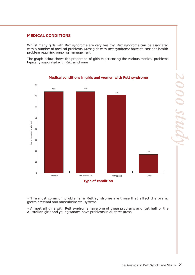#### **MEDICAL CONDITIONS**

Whilst many girls with Rett syndrome are very healthy, Rett syndrome can be associated with a number of medical problems. Most girls with Rett syndrome have at least one health problem requiring ongoing management.

The graph below shows the proportion of girls experiencing the various medical problems typically associated with Rett syndrome.



**Medical conditions in girls and women with Rett syndrome**

• The most common problems in Rett syndrome are those that affect the brain, gastrointestinal and musculoskeletal systems.

• Almost all girls with Rett syndrome have one of these problems and just half of the Australian girls and young women have problems in all three areas.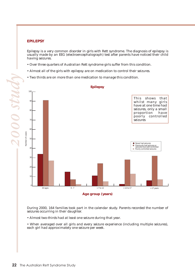#### **EPILEPSY**

Epilepsy is a very common disorder in girls with Rett syndrome. The diagnosis of epilepsy is usually made by an EEG (electroencephalograph) test after parents have noticed their child having seizures.

- Over three quarters of Australian Rett syndrome girls suffer from this condition.
- Almost all of the girls with epilepsy are on medication to control their seizures.
- Two thirds are on more than one medication to manage this condition.



During 2000, 164 families took part in the calendar study. Parents recorded the number of seizures occurring in their daughter.

• Almost two-thirds had at least one seizure during that year.

• When averaged over all girls and every seizure experience (including multiple seizures), each girl had approximately one seizure per week.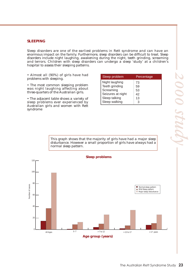#### **SLEEPING**

Sleep disorders are one of the earliest problems in Rett syndrome and can have an enormous impact on the family. Furthermore, sleep disorders can be difficult to treat. Sleep disorders include night laughing, awakening during the night, teeth grinding, screaming and terrors. Children with sleep disorders can undergo a sleep 'study' at a children's hospital to assess their sleeping patterns.

• Almost all (90%) of girls have had problems with sleeping.

• The most common sleeping problem was night laughing affecting about three-quarters of the Australian girls.

• The adjacent table shows a variety of sleep problems ever experienced by Australian girls and women with Rett syndrome

| Sleep problem     | Percentage |
|-------------------|------------|
| Night laughing    | 73         |
| Teeth grinding    | 59         |
| Screaming         | 53         |
| Seizures at night | 42         |
| Sleep talking     | 13         |
| Sleep walking     |            |

This graph shows that the majority of girls have had a major sleep disturbance. However a small proportion of girls have always had a normal sleep pattern.

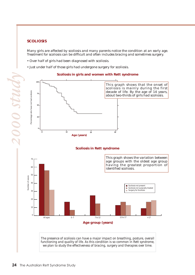#### **SCOLIOSIS**

Many girls are affected by scoliosis and many parents notice the condition at an early age. Treatment for scoliosis can be difficult and often includes bracing and sometimes surgery.

- Over half of girls had been diagnosed with scoliosis.
- Just under half of those girls had undergone surgery for scoliosis.



#### **Scoliosis in girls and women with Rett syndrome**





*The presence of scoliosis can have a major impact on breathing, posture, overall functioning and quality of life. As this condition is so common in Rett syndrome, we plan to study the effectiveness of bracing, surgery and therapies over time.*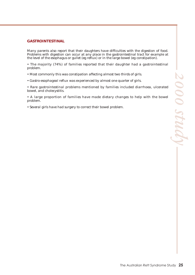#### **GASTROINTESTINAL**

Many parents also report that their daughters have difficulties with the digestion of food. Problems with digestion can occur at any place in the gastrointestinal tract for example at the level of the esophagus or gullet (eg reflux) or in the large bowel (eg constipation).

• The majority (74%) of families reported that their daughter had a gastrointestinal problem.

- Most commonly this was constipation affecting almost two thirds of girls.
- Gastro-esophageal reflux was experienced by almost one quarter of girls.

• Rare gastrointestinal problems mentioned by families included diarrhoea, ulcerated bowel, and cholecystitis.

• A large proportion of families have made dietary changes to help with the bowel problem.

• Several girls have had surgery to correct their bowel problem.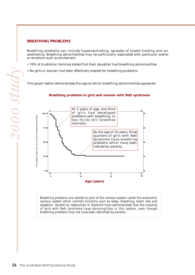#### **BREATHING PROBLEMS**

Breathing problems can include hyperventilating, episodes of breath-holding and air swallowing. Breathing abnormalities may be particularly associated with particular events or emotions such as excitement.

- 74% of Australian families stated that their daughter had breathing abnormalities.
- No girls or women had been effectively treated for breathing problems.

This graph below demonstrates the age at which breathing abnormalities appeared.

#### **Breathing problems in girls and women with Rett syndrome**



*Breathing problems are related to part of the nervous system called the autonomic nervous system which controls functions such as sleep, breathing, heart rate and digestion. Studies by researchers in Scotland have demonstrated that the majority of girls with Rett syndrome have abnormalities in this system, even though breathing problems may not have been identified by parents.*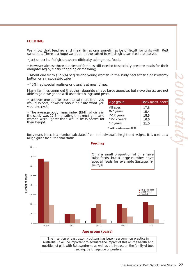#### **FEEDING**

We know that feeding and meal times can sometimes be difficult for girls with Rett syndrome. There is a huge variation in the extent to which girls can feed themselves.

• Just under half of girls have no difficulty eating most foods.

• However almost three quarters of families still needed to specially prepare meals for their daughter (eg by finely chopping or mashing).

• About one tenth (12.5%) of girls and young women in the study had either a gastrostomy button or a nasogastric tube.

• 40% had special routines or utensils at meal times.

Many families comment that their daughters have large appetites but nevertheless are not able to gain weight as well as their siblings and peers.

• Just over one quarter seem to eat more than you would expect, however about half ate what you would expect.

• The average body mass index (BMI) of girls in the study was 17.5 indicating that most girls and women were lighter than would be expected for their height.

| Age group                                | Body mass index* |  |  |
|------------------------------------------|------------------|--|--|
| All ages                                 | 17.5             |  |  |
| $\int 0-7$ years                         | 15.4             |  |  |
| $7-12$ years                             | 15.5             |  |  |
| 12-17 years                              | 16.6             |  |  |
| 17 years                                 | 21.0             |  |  |
| $*T = -11$ , , $t = 1, t = 1, , t$ 00.05 |                  |  |  |

**\*Health weight range = 20-25**

*Body mass index is a number calculated from an individual's height and weight. It is used as a rough guide for nutritional status.*



*Australia. It will be important to evaluate the impact of this on the health and nutrition of girls with Rett syndrome as well as the impact on the family of tube feeding, be it negative or positive.*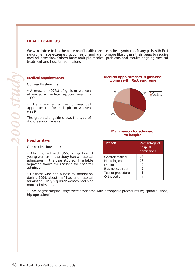#### **HEALTH CARE USE**

We were interested in the patterns of health care use in Rett syndrome. Many girls with Rett syndrome have extremely good health and are no more likely than their peers to require medical attention. Others have multiple medical problems and require ongoing medical treatment and hospital admissions.

#### **Medical appointments**

Our results show that:

**Hospital stays**

admission.

more admissions.

Our results show that:

• Almost all (97%) of girls or women attended a medical appointment in 1999.

• The average number of medical appointments for each girl or women was 9.

The graph alongside shows the type of doctors appointments.

• About one third (35%) of girls and young women in the study had a hospital admission in the year studied. The table adjacent shows the reasons for hospital

• Of those who had a hospital admission during 1999, about half had one hospital admission. Only 5 girls or women had 5 or

#### **Medical appointments in girls and women with Rett syndrome**



#### **Main reason for admission to hospital**

| Reason                                                                               | Percentage of<br>hospital<br>admissions |
|--------------------------------------------------------------------------------------|-----------------------------------------|
| Gastrointestinal<br>Neurological<br>Dental<br>Ear, nose, throat<br>Test or procedure | 18<br>18<br>9<br>8<br>8                 |
| Orthopedic                                                                           | 8                                       |

• The longest hospital stays were associated with orthopedic procedures (eg spinal fusions, hip operations).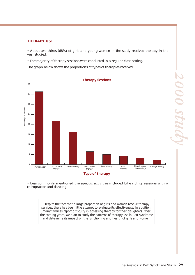#### **THERAPY USE**

• About two thirds (68%) of girls and young women in the study received therapy in the year studied.

• The majority of therapy sessions were conducted in a regular class setting.

The graph below shows the proportions of types of therapies received.



• Less commonly mentioned therapeutic activities included bike riding, sessions with a chiropractor and dancing.

*Despite the fact that a large proportion of girls and women receive therapy services, there has been little attempt to evaluate its effectiveness. In addition, many families report difficulty in accessing therapy for their daughters. Over the coming years, we plan to study the patterns of therapy use in Rett syndrome and determine its impact on the functioning and health of girls and women.*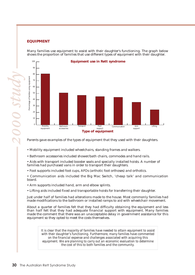Many families use equipment to assist with their daughter's functioning. The graph below shows the proportion of families that use different types of equipment with their daughter.



Parents gave examples of the types of equipment that they used with their daughters.

• Mobility equipment included wheelchairs, standing frames and walkers.

• Bathroom accessories included shower/bath chairs, commodes and hand rails.

• Aids with transport included booster seats and specially installed hoists. A number of families had purchased vans in order to transport their daughters.

• Foot supports included foot cups, AFOs (arthotic foot orthoses) and orthotics.

• Communication aids included the Big Mac Switch, 'cheap talk' and communication board.

• Arm supports included hand, arm and elbow splints.

• Lifting aids included fixed and transportable hoists for transferring their daughter.

Just under half of families had alterations made to the house. Most commonly families had made modifications to the bathroom or installed ramps to aid with wheelchair movement.

About a quarter of families felt that they had difficulty obtaining the equipment and less than half felt that they had adequate financial support with equipment. Many families made the comment that there was an unacceptable delay in government assistance for this equipment so they opted to meet the costs themselves.

*It is clear that the majority of families have needed to attain equipment to assist with their daughter's functioning. Furthermore, many families have commented on the financial expense and challenges associated with acquiring this equipment. We are planning to carry out an economic evaluation to determine the cost of this to both families and the community.* 

*2000 study*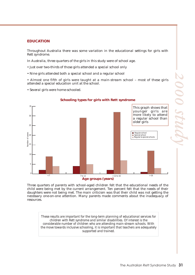#### **EDUCATION**

Throughout Australia there was some variation in the educational settings for girls with Rett syndrome.

In Australia, three quarters of the girls in this study were of school age.

- Just over two-thirds of those girls attended a special school only
- Nine girls attended both a special school and a regular school

• Almost one fifth of girls were taught at a main-stream school – most of these girls attended a special education unit at the school.

• Several girls were home-schooled.



Three quarters of parents with school-aged children felt that the educational needs of the child were being met by the current arrangement. Ten percent felt that the needs of their daughters were not being met. The main criticism was that their child was not getting the necessary one-on-one attention. Many parents made comments about the inadequacy of resources.

*These results are important for the long-term planning of educational services for children with Rett syndrome and similar disabilities. Of interest is the considerable number of children who are attending main-stream schools. With the move towards inclusive schooling, it is important that teachers are adequately supported and trained.*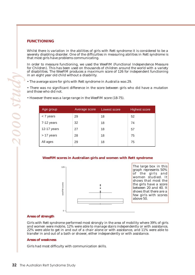#### **FUNCTIONING**

Whilst there is variation in the abilities of girls with Rett syndrome it is considered to be a severely disabling disorder. One of the difficulties in measuring abilities in Rett syndrome is that most girls have problems communicating.

In order to measure functioning, we used the WeeFIM (Functional Independence Measure for Children). This has been used on thousands of children around the world with a variety of disabilities. The WeeFIM produces a maximum score of 126 for independent functioning in an eight year old child without a disability.

• The average score for girls with Rett syndrome in Australia was 29.

• There was no significant difference in the score between girls who did have a mutation and those who did not.

| Age group   | Average score | Lowest score | <b>Highest score</b> |
|-------------|---------------|--------------|----------------------|
| < 7 years   | 29            | 18           | 52                   |
| 7-12 years  | 32            | 18           | 74                   |
| 12-17 years | 27            | 18           | 57                   |
| > 17 years  | 28            | 18           | 75                   |
| All ages    | 29            | 18           | 75                   |

• However there was a large range in the WeeFIM score (18-75).

#### **WeeFIM scores in Australian girls and women with Rett syndrome**



The large box in this graph represents 50% of the girls and women studied. It shows that most the the girls have a score between 20 and 40. It shows that there are a few girls with scores

#### **Areas of strength**

Girls with Rett syndrome performed most strongly in the area of mobility where 39% of girls and women were mobile, 12% were able to manage stairs independently or with assistance, 22% were able to get in and out of a chair alone or with assistance, and 11% were able to transfer in and out of a bath or shower, either independently or with assistance.

#### **Areas of weakness**

Girls had most difficulty with communication skills.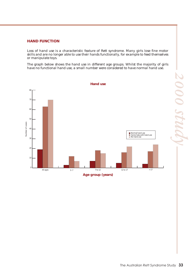#### **HAND FUNCTION**

Loss of hand use is a characteristic feature of Rett syndrome. Many girls lose fine motor skills and are no longer able to use their hands functionally, for example to feed themselves or manipulate toys.

The graph below shows the hand use in different age groups. Whilst the majority of girls have no functional hand use, a small number were considered to have normal hand use.

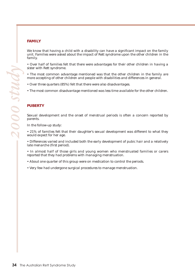#### **FAMILY**

We know that having a child with a disability can have a significant impact on the family unit. Families were asked about the impact of Rett syndrome upon the other children in the family.

• Over half of families felt that there were advantages for their other children in having a sister with Rett syndrome.

• The most common advantage mentioned was that the other children in the family are more accepting of other children and people with disabilities and differences in general.

- Over three quarters (85%) felt that there were also disadvantages.
- The most common disadvantage mentioned was less time available for the other children.

#### **PUBERTY**

Sexual development and the onset of menstrual periods is often a concern reported by parents.

In the follow-up study:

• 21% of families felt that their daughter's sexual development was different to what they would expect for her age.

• Differences varied and included both the early development of pubic hair and a relatively late menarche (first period).

• In almost half of those girls and young women who menstruated families or carers reported that they had problems with managing menstruation.

• About one quarter of this group were on medication to control the periods.

• Very few had undergone surgical procedures to manage menstruation.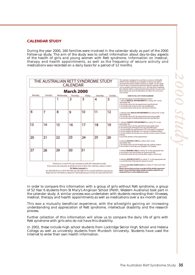#### **CALENDAR STUDY**

During the year 2000, 160 families were involved in the calendar study as part of the 2000 Follow-up study. The aim of the study was to collect information about day-to-day aspects of the health of girls and young women with Rett syndrome. Information on medical, therapy and health appointments, as well as the frequency of seizure activity and medications was recorded on a daily basis for a period of 12 months.

| THE AUSTRALIAN RETT SYNDROME STUDY<br>CALENDAR                                                                                                                                                                                                                                                                                                                          |         |           |          | This calendar is designed to record the accentence of all health<br>related events relating to your daughter so that we are able to<br>document the impact of Rett syndrome on health. For this stude<br>to be of value, it is estremely important that this calendar is filled<br>out accusately when the events occur. We hape that completing                                                   |                                                                                                                                                           |        |                                                                                                                                                                                                                                                                                                                                                                                                                            |
|-------------------------------------------------------------------------------------------------------------------------------------------------------------------------------------------------------------------------------------------------------------------------------------------------------------------------------------------------------------------------|---------|-----------|----------|----------------------------------------------------------------------------------------------------------------------------------------------------------------------------------------------------------------------------------------------------------------------------------------------------------------------------------------------------------------------------------------------------|-----------------------------------------------------------------------------------------------------------------------------------------------------------|--------|----------------------------------------------------------------------------------------------------------------------------------------------------------------------------------------------------------------------------------------------------------------------------------------------------------------------------------------------------------------------------------------------------------------------------|
| <b>March 2000</b>                                                                                                                                                                                                                                                                                                                                                       |         |           |          |                                                                                                                                                                                                                                                                                                                                                                                                    | this calendar will be a worful and interesting activity. You may even<br>like to photocopy each month before you return it to us for your<br>own seconds. |        |                                                                                                                                                                                                                                                                                                                                                                                                                            |
| Monday                                                                                                                                                                                                                                                                                                                                                                  | Tuesday | Wednesday | Thursday | Friday                                                                                                                                                                                                                                                                                                                                                                                             | Saturday                                                                                                                                                  | Sunday | HOW TO FILL OUT YOUR CALEMBAR                                                                                                                                                                                                                                                                                                                                                                                              |
|                                                                                                                                                                                                                                                                                                                                                                         |         | 1         | 2        | 3                                                                                                                                                                                                                                                                                                                                                                                                  | 4                                                                                                                                                         | 5      | On-each-day please-second the following 'events':<br>1. Indicate MEDICAL APPOINTMENTS be verting "HA" on the<br>зрахоряде day<br>a record the reason for the appointment leg blood test)<br>b, record the type of doctor oven (ep paediatrician)<br>c. record the name of the doctor seen leg. Or 8. Brownl                                                                                                                |
| 6                                                                                                                                                                                                                                                                                                                                                                       | 7       | 8         | 9        | 10                                                                                                                                                                                                                                                                                                                                                                                                 | 11                                                                                                                                                        | 12     | 2. Indicate other HEALTH APPOINTMENTS by writing "HA" on the<br>зрахоряде day<br>a record the reason for the appointment leg. losing weight)<br>b, record the type of health professional user; jeg, dietician)                                                                                                                                                                                                            |
| 13                                                                                                                                                                                                                                                                                                                                                                      | 14      | 15        | 16       | 17                                                                                                                                                                                                                                                                                                                                                                                                 | 18                                                                                                                                                        | 19     | 3. Indicate THEBAPY APPOINTMENTS by writing 'TA' on the<br>арргорхайн санг<br>a record the reason for the appointment leg, regular classi<br>b, record the type of therapist seen jeg, physiothesapist)<br>c_record whether the appointment is for assessment or treatment.<br>d. record whether the therapy is in a group or individual setting<br>e, record whether the therapy was a private session or part of school. |
| 20                                                                                                                                                                                                                                                                                                                                                                      | 21      | 22        | 23       | 24                                                                                                                                                                                                                                                                                                                                                                                                 | 25                                                                                                                                                        | 26     | activities.<br>functional the densition of the appointment.<br>4. Indicate HOSPITAL STAYS by writing "Hp5" on the<br>appropriate-days.<br>a record the reason for the hospital stay leg scoliosis surpervi-<br>buncard HpS on each day your daughter is in hospital                                                                                                                                                        |
| 27                                                                                                                                                                                                                                                                                                                                                                      | 28      | 29        | 30       | 31                                                                                                                                                                                                                                                                                                                                                                                                 |                                                                                                                                                           |        | 5. Indicate NURSING CARE by witting 'M' on the appropriate day<br>a, record-each visit leven if there are several each day).<br>buyound the reason for the visit (eq. after surgery wound case)                                                                                                                                                                                                                            |
| Thank you so much for your assistance with this important study!<br>If you have any enquiries at all about how to fill in this calendar, please contact<br>Dr Helen Leonard on<br>ph. 08 9340 8725 or 0419 956 946. fax. 08 9388 3414 or email rett@ichr.uwa.edu.au<br>Reply Paid 505, TVW Telethon Institute for Child Health Research, PO Box 855, West Perth WA 6872 |         |           |          | 6. Indicate SESDURE ACTIVITY by verting '5" on the appropriate day<br>a record the time-of the day the sectore occurred<br>7. Indicate any other health events by writing "O" and record what<br>this event is<br>Please ensure that you have recorded all the details requested<br>above. If you feel that further details would be useful for our<br>study, feel free to write additional notes. |                                                                                                                                                           |        |                                                                                                                                                                                                                                                                                                                                                                                                                            |

In order to compare this information with a group of girls without Rett syndrome, a group of 52 Year 6 students from St Mary's Anglican School (Perth, Western Australia) took part in the calendar study. A similar process was undertaken with students recording their illnesses, medical, therapy and health appointments as well as medications over a six-month period.

This was a mutually beneficial experience, with the schoolgirls gaining an increasing understanding and appreciation of Rett syndrome, intellectual disability and the research process.

Further collection of this information will allow us to compare the daily life of girls with Rett syndrome with girls who do not have this disability.

In 2002, these include high school students from Lockridge Senior High School and Helena College as well as university students from Murdoch University. Students have used the Internet to enter their own health information.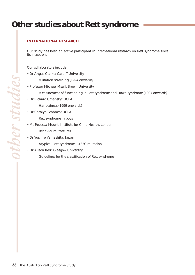## **Other studies about Rett syndrome**

#### **INTERNATIONAL RESEARCH**

Our study has been an active participant in international research on Rett syndrome since its inception.

Our collaborators include:

• Dr Angus Clarke: Cardiff University

Mutation screening (1994 onwards)

- Professor Michael Msall: Brown University
	- Measurement of functioning in Rett syndrome and Down syndrome (1997 onwards)
- Dr Richard Umansky: UCLA

Handedness (1999 onwards)

• Dr Carolyn Schanen: UCLA

Rett syndrome in boys

• Ms Rebecca Mount: Institute for Child Health, London

Behavioural features

• Dr Yushiro Yamashita: Japan

Atypical Rett syndrome: R133C mutation

• Dr Alison Kerr: Glasgow University

Guidelines for the classification of Rett syndrome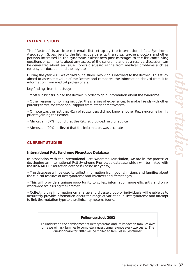#### **INTERNET STUDY**

The "Rettnet" is an internet email list set up by the International Rett Syndrome Association. Subscribers to the list include parents, therapists, teachers, doctors and other persons interested in the syndrome. Subscribers post messages to the list containing questions or comments about any aspect of the syndrome and as a result a discussion can be generated about an issue. Topics discussed range from medical problems such as epilepsy to education and therapy use.

During the year 2001 we carried out a study involving subscribers to the Rettnet. This study aimed to assess the value of the Rettnet and compared the information derived from it to information from medical professionals.

Key findings from this study:

• Most subscribers joined the Rettnet in order to gain information about the syndrome.

• Other reasons for joining included the sharing of experiences, to make friends with other parents/carers, for emotional support from other parents/carers.

• Of note was the fact that 41% of subscribers did not know another Rett syndrome family prior to joining the Rettnet.

- Almost all (87%) found that the Rettnet provided helpful advice.
- Almost all (90%) believed that the information was accurate.

#### **CURRENT STUDIES**

#### **International Rett Syndrome Phenotype Database.**

In association with the International Rett Syndrome Association, we are in the process of developing an international Rett Syndrome Phenotype database which will be linked with the IRSA MECP2 mutation database (based in Sydney).

• The database will be used to collect information from both clinicians and families about the clinical features of Rett syndrome and its effects at different ages.

• This will provide a unique opportunity to collect information more efficiently and on a worldwide scale using the Internet.

• Collecting this information on a large and diverse group of individuals will enable us to accurately provide information about the range of variation in Rett syndrome and attempt to link the mutation type to the clinical symptoms found.

*Follow-up study 2002*

*To understand the development of Rett syndrome and its impact on families over time we will ask families to complete a questionnaire once every two years. The questionnaire for 2002 will be mailed to families in September.*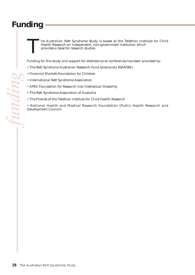## **Funding**

*funding*

he Australian Rett Syndrome Study is based at the Telethon Institute for Child Health Research an independent, non-government institution which provides a base for research studies. **T** 

Funding for this study and support for attendance at conferences has been provided by:

- The Rett Syndrome Australian Research Fund (previously RSANSW)
- Financial Markets Foundation for Children
- International Rett Syndrome Association
- APEX Foundation for Research into Intellectual Disability
- The Rett Syndrome Association of Australia
- The Friends of the Telethon Institute for Child Health Research

• National Health and Medical Research Foundation (Public Health Research and Development Council)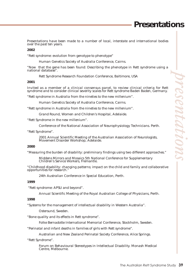Presentations have been made to a number of local, interstate and international bodies over the past ten years.

#### **2002**

"Rett syndrome: evolution from genotype to phenotype"

Human Genetics Society of Australia Conference, Cairns.

"Now that the gene has been found: Describing the phenotype in Rett syndrome using a national database".

Rett Syndrome Research Foundation Conference, Baltimore, USA

#### **2001**

Invited as a member of a clinical consensus panel, to review clinical criteria for Rett syndrome and to consider clinical severity scales for Rett syndrome Baden Baden, Germany.

"Rett syndrome in Australia from the nineties to the new millenium".

Human Genetics Society of Australia Conference, Cairns.

"Rett syndrome in Australia from the nineties to the new millenium".

Grand Round, Women and Children's Hospital, Adelaide.

"Rett Syndrome in the new millenium".

Conference of the National Association of Neurophysiology Technicians. Perth.

"Rett Syndrome".

2001 Annual Scientific Meeting of the Australian Association of Neurologists, Movement Disorder Workshop, Adelaide.

#### **2000**

"Measuring the burden of disability: preliminary findings using two different approaches."

Middens Mirrors and Mosaics 5th National Conference for Supplementary Children's Service Workers, Fremantle.

"Childhood disability: changing patterns; impact on the child and family and collaborative opportunities for research.

24th Australian Conference in Special Education, Perth.

#### **1999**

"Rett syndrome: APSU and beyond".

Annual Scientific Meeting of the Royal Australian College of Physicians, Perth.

#### **1998**

"Systems for the management of intellectual disability in Western Australia".

Ostersund, Sweden.

"Bone quality and its effects in Rett syndrome".

Folke Bernadotte International Memorial Conference, Stockholm, Sweden.

"Perinatal and infant deaths in families of girls with Rett syndrome".

Australian and New Zealand Perinatal Society Conference, Alice Springs.

"Rett Syndrome".

Forum on Behavioural Stereotypes in Intellectual Disability. Monash Medical Centre, Melbourne.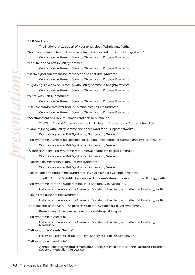"Rett Syndrome".

The National Association of Neurophysiology Technicians. Perth. "An investigation of familial co-aggregation of other conditions with Rett syndrome". Conference on Human Genetics:Diversity and Disease. Fremantle.

"The Hands and Feet in Rett syndrome"

Conference on Human Genetics:Diversity and Disease. Fremantle.

"Radiological clues to the neuroendocrine basis of Rett syndrome".

Conference on Human Genetics:Diversity and Disease. Fremantle.

"Lightning strikes twice - a family with Rett syndrome in two generations".

Conference on Human Genetics:Diversity and Disease. Fremantle.

"A boy with Rett-like features".

Conference on Human Genetics:Diversity and Disease. Fremantle. "Double-blinded crossover trial in 35 females with Rett syndrome".

Conference on Human Genetics:Diversity and Disease. Fremantle.

"Ascertainment of a rare childhood condition in Australia".

The 28th Annual Conference of the Public Health Association of Australia Inc., Perth.

"Families living with Rett syndrome: their needs and social support networks".

World Congress on Rett Syndrome, Gothenburg, Sweden.

"Rett syndrome in Australia: Epidemiological data - distribution of classical and atypical females".

World Congress on Rett Syndrome, Gothenburg, Sweden.

"A case of variant Rett syndrome with unusual neuropathological Findings".

World Congress on Rett Syndrome, Gothenburg, Sweden.

"Further documentation of familial Rett syndrome".

World Congress on Rett Syndrome, Gothenburg, Sweden.

"Skeletal abnormalities in Rett syndrome: Have we found a dysmorphic marker?"

The 8th Annual Scientific Conference of The Australasian Society for Human Biology, Perth.

"Rett syndrome: care and support of the child and family in Australia".

National conference of the Australian Society for the Study of Intellectual Disability, Perth.

"Solving the puzzle of Rett syndrome".

National conference of the Australian Society for the Study of Intellectual Disability, Perth.

"The First Year of the APSU: The perspective of the investigators of Rett syndrome".

Research and Advances Seminar, Princess Margaret Hospital.

"Rett syndrome in Australia".

National conference of the Australian Society for the Study of Intellectual Disability, Newcastle.

"Rett syndrome: Gene to Gesture" .

Forum on Learning Disability, Royal Society of Medicine, London, UK.

"Rett syndrome in Australia"

Annual scientific meeting of Australian College of Paediatrics and the Paediatric Research Society of Australia, Melbourne.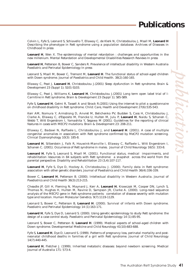### **Publications**

Colvin L, Fyfe S, Leonard S, Schiavello T, Ellaway C, de Klerk N, Christodoulou J, Msall M, **Leonard H** Describing the phenotype in Rett syndrome using a population database. Archives of Diseases in Childhood In press

**Leonard H**, Wen X. The epidemiology of mental retardation : challenges and opportunities in the new millenium. Mental Retardation and Developmental Disabilities Research Reviews In press

**Leonard H**, Petterson B, Bower C, Sanders R. Prevalence of intellectual disability in Western Australia Paediatric and Perinatal Epidemiology In press

Leonard S, Msall M, Bower C, Tremont M, **Leonard H**. The functional status of school-aged children with Down syndrome. Journal of Paediatrics and Child Health. 38(2):160-165.

Ellaway C, Peat J, **Leonard H**, Christodoulou J.(2001) Sleep dysfunction in Rett syndrome. Brain & Development 23 (Suppl 1); S101-S103.

Ellaway C, Peat J, Williams K, **Leonard H**, Christodoulou J.(2001) Long term open label trial of l-Carnitine in Rett syndrome. Brain & Development 23 (Suppl 1); S85-S89.

Fyfe S, **Leonard H**, Gelmi R, Tassell A and Strack R.(2001) Using the internet to pilot a questionnaire on childhood disability in Rett syndrome. Child: Care, Health and Development 27(6):535-543.

Kerr AM, Nomura Y, Armstrong D, Anvret M, Belichenko PV, Budden S, Cass H, Christodoulou J, Clarke A, Ellaway C, d'Esposito M, Francke U, Hulten M, Julu P, **Leonard H**, Naidu S, Schanen C, Webb T, Witt Engerstrom I, Yamashita Y, Segawa M (2001). Guidelines for the reporting of clinical features in cases with MECP2 mutations. Brain & Development 23: 208-211.

Ellaway C, Badawi N, Raffaele L, Christodoulou J, and **Leonard H**. (2001). A case of multiple congenital anomalies in association with Rett syndrome confirmed by MeCP2 mutation screening. Clinical Dysmorphology 10(3): 185-8.

**Leonard H**, Silberstein J, Falk R, Houwink-Manville I, Ellaway C, Raffaele L, Witt Engerstrom I, Schanen C. (2001). Occurrence of Rett syndrome in males. Journal of Child Neurology 16(5): 333-8.

**Leonard H**, Fyfe S, Leonard S, Msall M. (2001). Functional status, medical impairments, and rehabilitation resources in 84 subjects with Rett syndrome: a snapshot across the world from the parental perspective. Disability and Rehabilitation 23 (3,4):107-117.

**Leonard H**, Fyfe S, Dye D, Hockey A, Christodoulou J. (2000). Family data in Rett syndrome: association with other genetic disorders. Journal of Paediatrics and Child Health 36(4):336-339.

Bower C, **Leonard H**, Petterson B. (2000). Intellectual disability in Western Australia. Journal of Paediatrics and Child Health 36(3):213-215.

Cheadle JP, Gill H, Fleming N, Maynard J, Kerr A, **Leonard H**, Krawczak M, Cooper DN, Lynch S, Thomas N, Hughes H, Hulten M, Ravine D, Sampson JR, Clarke A. (2000). Long-read sequence analysis of the MECP2 gene in Rett syndrome patients: correlation of disease severity with mutation type and location. Human Molecular Genetics. 9(7):1119-1129.

Leonard S, Bower C, Petterson B, **Leonard H**. (2000). Survival of infants with Down syndrome. Paediatric and Perinatal Epidemiology 14 (1):163-171.

**Leonard H**, Fyfe S, Dye D, Leonard S. (2000). Using genetic epidemiology to study Rett syndrome: the design of a case control study. Paediatric and Perinatal Epidemiology 14 (1):85-95.

Leonard S, Bower C, Petterson B, **Leonard H**. (1999). Medical aspects of school-aged children with Down syndrome. Developmental Medicine and Child Neurology 41(10):683-688.

Fyfe S, **Leonard H**, Dye D, Leonard S. (1999). Patterns of pregnancy loss, perinatal mortality and postneonatal childhood deaths in families of a girl with Rett syndrome. Journal of Child Neurology 14(7):440-445.

**Leonard H**, Fletcher J. (1999). Inherited metabolic diseases: beyond newborn screening. Medical Journal of Australia 171: 573-4.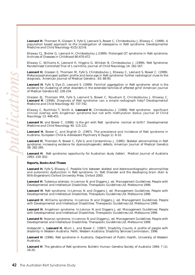**Leonard H**, Thomson R, Glasson E, Fyfe S, Leonard S, Bower C, Christodoulou J, Ellaway C. (1999). A population based approach to the investigation of osteopenia in Rett syndrome. Developmental Medicine and Child Neurology 41(5):323-8.

Ellaway CJ, Sholler G, Leonard H, Christodoulou J.(1999). Prolonged QT syndrome in Rett syndrome. Archives of Diseases in Childhood 80:470-472.

Ellaway C, Williams K, Leonard H, Higgins G, Wilcken B, Christodoulou J. (1999). Rett Syndrome: Randomised Controlled Trial of L-carnitine. Journal of Child Neurology 14: 162-167.

**Leonard H**, Glasson E, Thomson M, Fyfe S, Christodoulou J, Ellaway C, Leonard S, Bower C. (1999). Metacarpophalangeal pattern profile and bone age in Rett syndrome: further radiological clues to the diagnosis. American Journal of Medical Genetics . 83: 88-95.

**Leonard H**, Fyfe S, Dye D, Leonard S. (1999). Familial aggregation in Rett syndrome: what is the evidence for clustering of other disorders in the extended families of affected girls? American Journal of Medical Genetics 82: 228-234.

Glasson EJ, Thomson MR, Fyfe S, Leonard S, Bower C, Rousham E, Christodoulou J, Ellaway C, **Leonard H**. (1998). Diagnosis of Rett syndrome: can a simple radiograph help? Developmental Medicine and Child Neurology 40: 737-742.

Ellaway C, Buchholz T, Smith A, **Leonard H**, Christodoulou J. (1998). Rett syndrome: significant clinical overlap with Angelman syndrome but not with methylation status. Journal of Child Neurology 13: 448-451.

**Leonard H**, and Bower C. (1998). Is the girl with Rett syndrome normal at birth? Developmental Medicine and Child Neurology 40: 115-121.

**Leonard H**, Bower C, and English D. (1997). The prevalence and incidence of Rett syndrome in Australia. European Child & Adolescent Psychiatry 6 (Suppl.1): 8-10.

**Leonard H**, Thomson R, Bower C, Fyfe S, and Constantinou J. (1995). Skeletal abnormalities in Rett syndrome: increasing evidence for dysmorphogenetic defects. American Journal of Medical Genetics 58: 282-285.

**Leonard H**. Rett syndrome: opportunity for Australian study (letter). Medical Journal of Australia 1993; 159: 832.

#### **Reports, Books And Theses**

**Leonard H**, Fyfe S, Ellaway C. Possible link between skeletal and electrocardiographic abnormalities and autonomic dysfunction in Rett syndrome. In: Rett Disorder and the developing brain (Kerr & Witt-Engerstrom) Oxford University Press. Oxford 2000.

**Leonard H**. Tuberous sclerosis. In:Lennox N and Diggens J, ed. Management Guidelines: People with Developmental and Intellectual Disabilities. Therapeutic Guidelines Ltd. Melbourne 1999.

**Leonard H**. Rett syndrome. In:Lennox N and Diggens J, ed. Management Guidelines: People with Developmental and Intellectual Disabilities. Therapeutic Guidelines Ltd. Melbourne 1999.

**Leonard H**. Williams syndrome. In:Lennox N and Diggens J, ed. Management Guidelines: People with Developmental and Intellectual Disabilities. Therapeutic Guidelines Ltd. Melbourne 1999.

**Leonard H**. Angelman syndrome. In:Lennox N and Diggens J, ed. Management Guidelines: People with Developmental and Intellectual Disabilities. Therapeutic Guidelines Ltd. Melbourne 1999.

**Leonard H**. Noonan syndrome. In:Lennox N and Diggens J, ed. Management Guidelines: People with Developmental and Intellectual Disabilities. Therapeutic Guidelines Ltd. Melbourne 1999.

Alessandri L, **Leonard H**, Blum L, and Bower C. (1997). Disability Counts: A profile of people with disability in Western Australia. Perth, Western Australia: Disability Services Commission, 1996.

**Leonard H**. (1996). Rett syndrome in Australia. Department of Public Health, University of Western Australia.

**Leonard H**. The genetics of Rett syndrome. Bulletin Human Genetics Society of Australia 1994; 7 (1): 18-20.